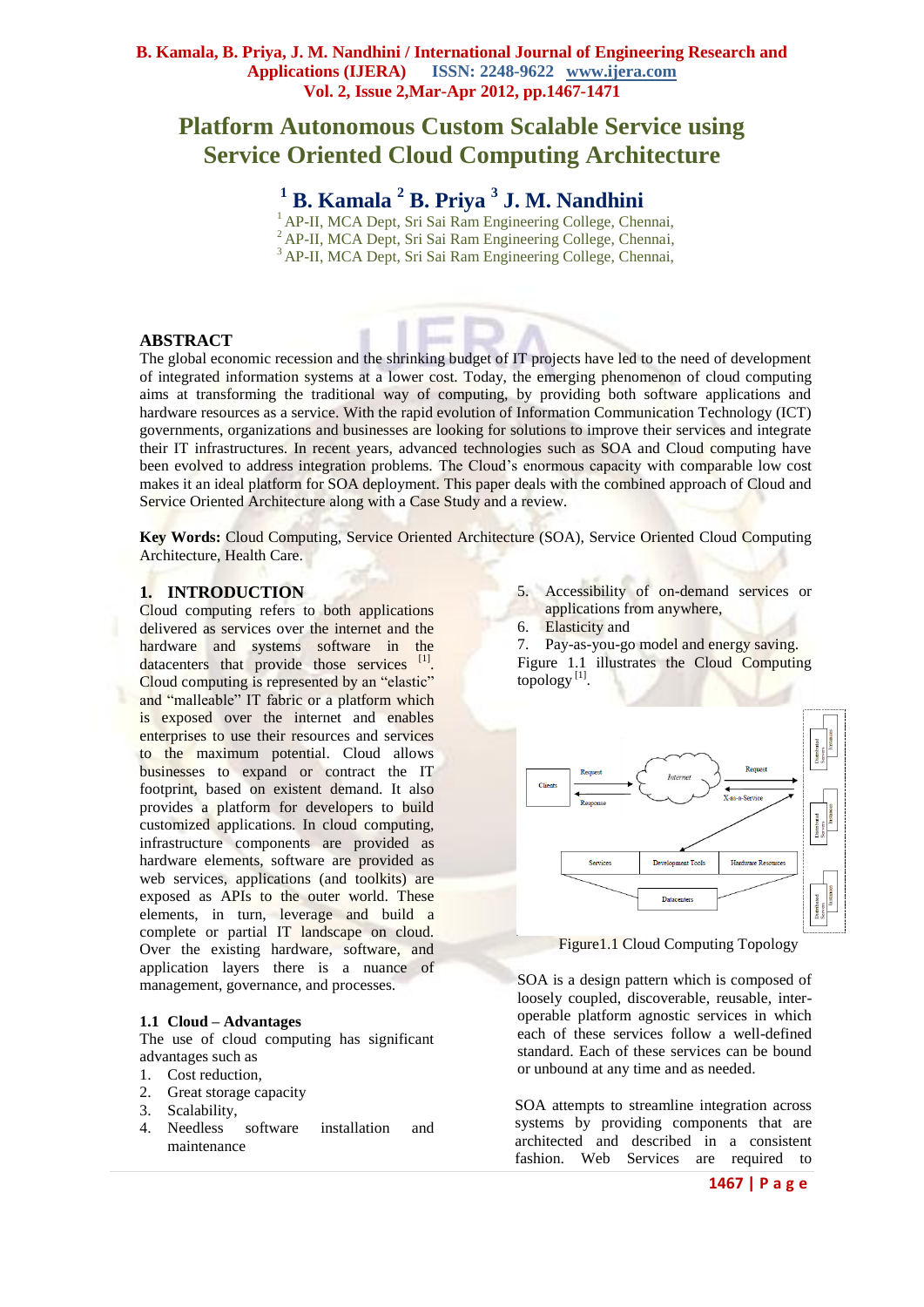# **Platform Autonomous Custom Scalable Service using Service Oriented Cloud Computing Architecture**

**<sup>1</sup> B. Kamala <sup>2</sup> B. Priya <sup>3</sup> J. M. Nandhini**

<sup>1</sup> AP-II, MCA Dept, Sri Sai Ram Engineering College, Chennai, <sup>2</sup> AP-II, MCA Dept, Sri Sai Ram Engineering College, Chennai, <sup>3</sup> AP-II, MCA Dept, Sri Sai Ram Engineering College, Chennai,

# **ABSTRACT**

The global economic recession and the shrinking budget of IT projects have led to the need of development of integrated information systems at a lower cost. Today, the emerging phenomenon of cloud computing aims at transforming the traditional way of computing, by providing both software applications and hardware resources as a service. With the rapid evolution of Information Communication Technology (ICT) governments, organizations and businesses are looking for solutions to improve their services and integrate their IT infrastructures. In recent years, advanced technologies such as SOA and Cloud computing have been evolved to address integration problems. The Cloud's enormous capacity with comparable low cost makes it an ideal platform for SOA deployment. This paper deals with the combined approach of Cloud and Service Oriented Architecture along with a Case Study and a review.

**Key Words:** Cloud Computing, Service Oriented Architecture (SOA), Service Oriented Cloud Computing Architecture, Health Care.

# **1. INTRODUCTION**

Cloud computing refers to both applications delivered as services over the internet and the hardware and systems software in the datacenters that provide those services [1]. Cloud computing is represented by an "elastic" and "malleable" IT fabric or a platform which is exposed over the internet and enables enterprises to use their resources and services to the maximum potential. Cloud allows businesses to expand or contract the IT footprint, based on existent demand. It also provides a platform for developers to build customized applications. In cloud computing, infrastructure components are provided as hardware elements, software are provided as web services, applications (and toolkits) are exposed as APIs to the outer world. These elements, in turn, leverage and build a complete or partial IT landscape on cloud. Over the existing hardware, software, and application layers there is a nuance of management, governance, and processes.

# **1.1 Cloud – Advantages**

The use of cloud computing has significant advantages such as

- 1. Cost reduction,
- 2. Great storage capacity
- 3. Scalability,
- 4. Needless software installation and maintenance
- 5. Accessibility of on-demand services or applications from anywhere,
- 6. Elasticity and
- 7. Pay-as-you-go model and energy saving.
- Figure 1.1 illustrates the Cloud Computing topology [1] .



Figure1.1 Cloud Computing Topology

SOA is a design pattern which is composed of loosely coupled, discoverable, reusable, interoperable platform agnostic services in which each of these services follow a well-defined standard. Each of these services can be bound or unbound at any time and as needed.

SOA attempts to streamline integration across systems by providing components that are architected and described in a consistent fashion. Web Services are required to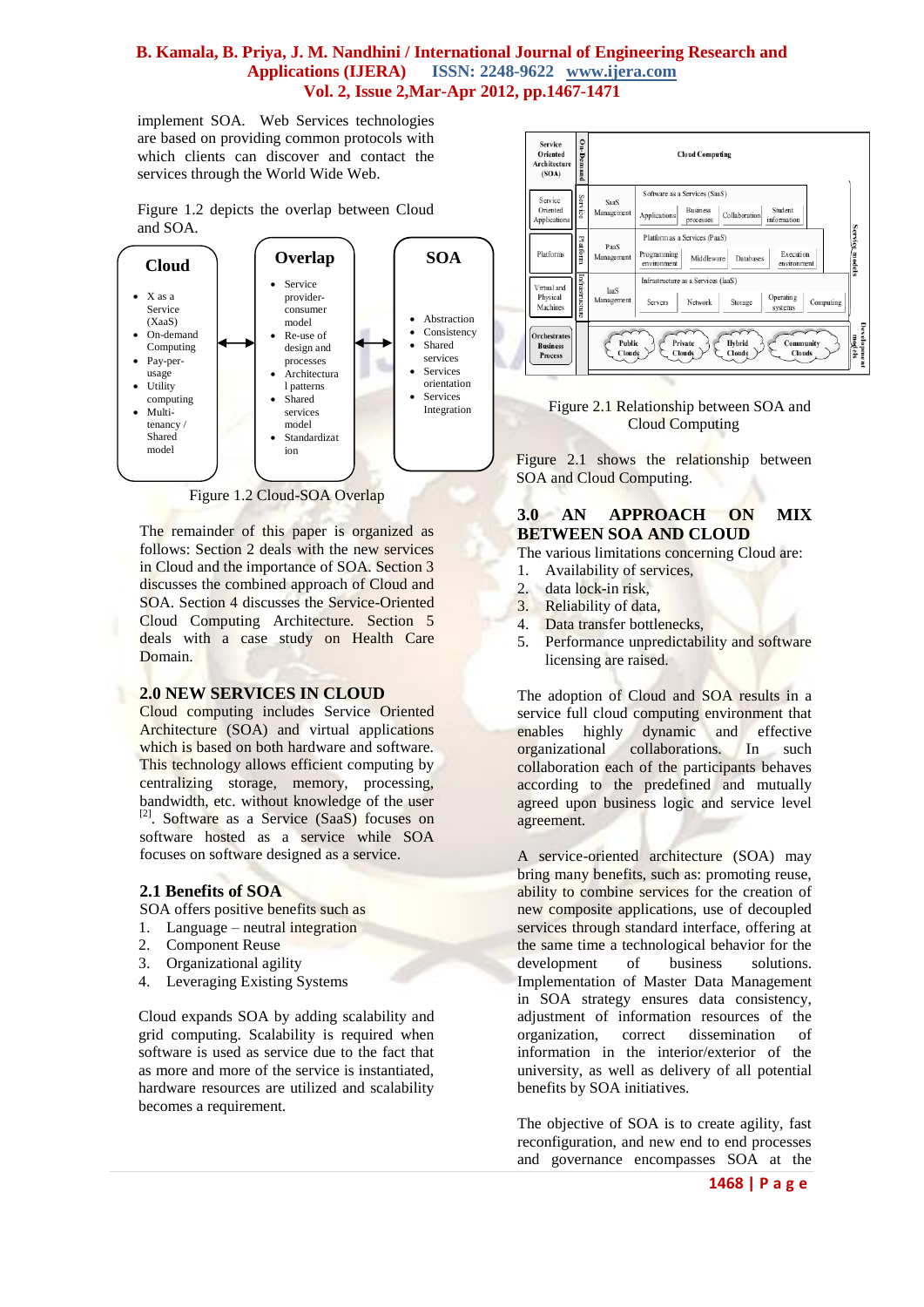implement SOA. Web Services technologies are based on providing common protocols with which clients can discover and contact the services through the World Wide Web.

Figure 1.2 depicts the overlap between Cloud and SOA.



Figure 1.2 Cloud-SOA Overlap

The remainder of this paper is organized as follows: Section 2 deals with the new services in Cloud and the importance of SOA. Section 3 discusses the combined approach of Cloud and SOA. Section 4 discusses the Service-Oriented Cloud Computing Architecture. Section 5 deals with a case study on Health Care Domain.

# **2.0 NEW SERVICES IN CLOUD**

Cloud computing includes Service Oriented Architecture (SOA) and virtual applications which is based on both hardware and software. This technology allows efficient computing by centralizing storage, memory, processing, bandwidth, etc. without knowledge of the user <sup>[2]</sup>. Software as a Service (SaaS) focuses on software hosted as a service while SOA focuses on software designed as a service.

# **2.1 Benefits of SOA**

SOA offers positive benefits such as

- 1. Language neutral integration
- 2. Component Reuse
- 3. Organizational agility
- 4. Leveraging Existing Systems

Cloud expands SOA by adding scalability and grid computing. Scalability is required when software is used as service due to the fact that as more and more of the service is instantiated, hardware resources are utilized and scalability becomes a requirement.



 Figure 2.1 Relationship between SOA and Cloud Computing

Figure 2.1 shows the relationship between SOA and Cloud Computing.

# **3.0 AN APPROACH ON MIX BETWEEN SOA AND CLOUD**

The various limitations concerning Cloud are:

- 1. Availability of services,
- 2. data lock-in risk,
- 3. Reliability of data,
- 4. Data transfer bottlenecks,
- 5. Performance unpredictability and software licensing are raised.

The adoption of Cloud and SOA results in a service full cloud computing environment that enables highly dynamic and effective organizational collaborations. In such collaboration each of the participants behaves according to the predefined and mutually agreed upon business logic and service level agreement.

A service-oriented architecture (SOA) may bring many benefits, such as: promoting reuse, ability to combine services for the creation of new composite applications, use of decoupled services through standard interface, offering at the same time a technological behavior for the development of business solutions. Implementation of Master Data Management in SOA strategy ensures data consistency, adjustment of information resources of the organization, correct dissemination of information in the interior/exterior of the university, as well as delivery of all potential benefits by SOA initiatives.

The objective of SOA is to create agility, fast reconfiguration, and new end to end processes and governance encompasses SOA at the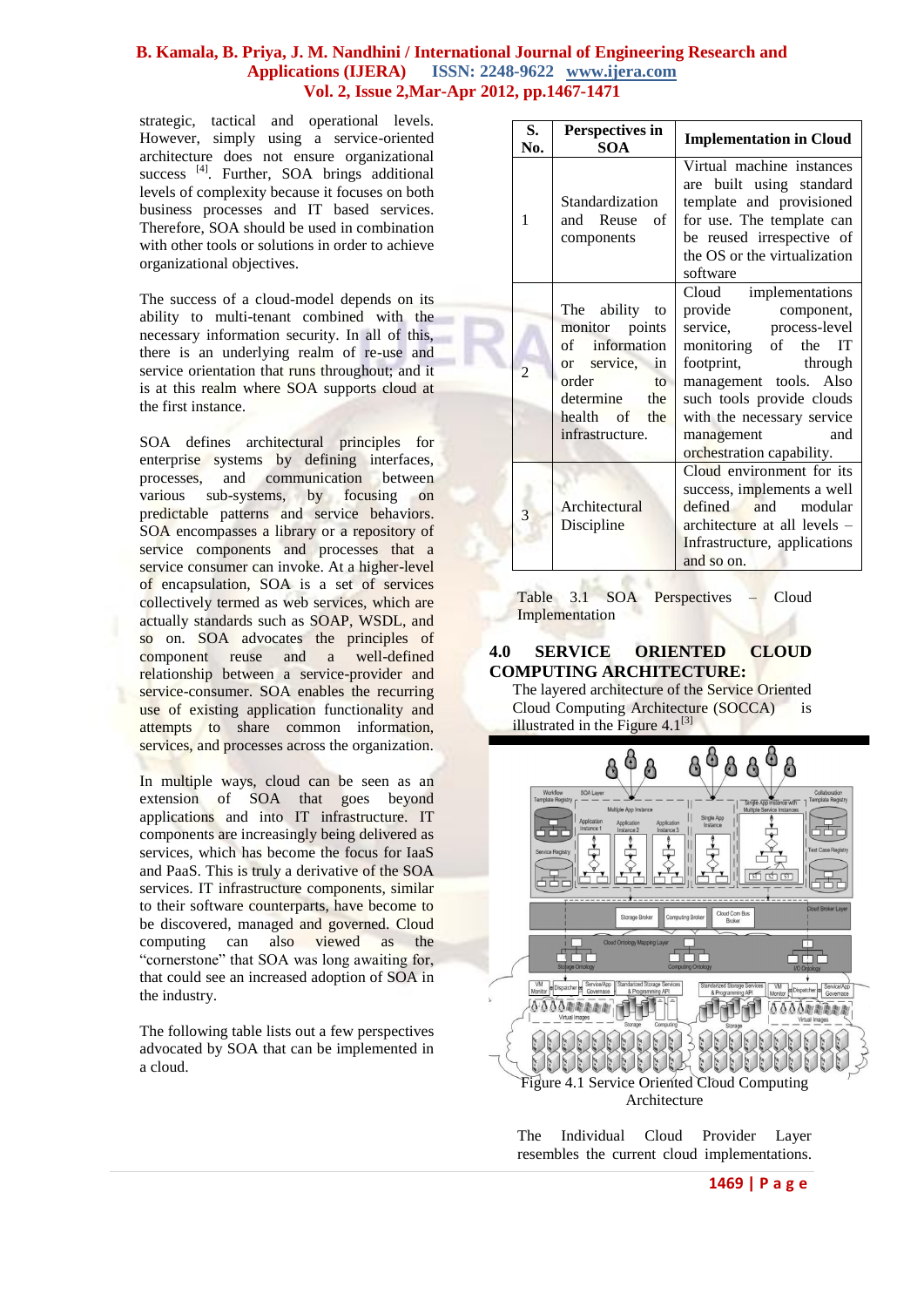strategic, tactical and operational levels. However, simply using a service-oriented architecture does not ensure organizational success [4]. Further, SOA brings additional levels of complexity because it focuses on both business processes and IT based services. Therefore, SOA should be used in combination with other tools or solutions in order to achieve organizational objectives.

The success of a cloud-model depends on its ability to multi-tenant combined with the necessary information security. In all of this, there is an underlying realm of re-use and service orientation that runs throughout; and it is at this realm where SOA supports cloud at the first instance.

SOA defines architectural principles for enterprise systems by defining interfaces, processes, and communication between various sub-systems, by focusing on predictable patterns and service behaviors. SOA encompasses a library or a repository of service components and processes that a service consumer can invoke. At a higher-level of encapsulation, SOA is a set of services collectively termed as web services, which are actually standards such as SOAP, WSDL, and so on. SOA advocates the principles of component reuse and a well-defined relationship between a service-provider and service-consumer. SOA enables the recurring use of existing application functionality and attempts to share common information, services, and processes across the organization.

In multiple ways, cloud can be seen as an extension of SOA that goes beyond applications and into IT infrastructure. IT components are increasingly being delivered as services, which has become the focus for IaaS and PaaS. This is truly a derivative of the SOA services. IT infrastructure components, similar to their software counterparts, have become to be discovered, managed and governed. Cloud computing can also viewed as the "cornerstone" that SOA was long awaiting for, that could see an increased adoption of SOA in the industry.

The following table lists out a few perspectives advocated by SOA that can be implemented in a cloud.

| S.<br>No.      | Perspectives in<br><b>SOA</b>                                                                                                                                    | <b>Implementation in Cloud</b>                                                                                                                                                                                                                                      |
|----------------|------------------------------------------------------------------------------------------------------------------------------------------------------------------|---------------------------------------------------------------------------------------------------------------------------------------------------------------------------------------------------------------------------------------------------------------------|
| 1              | Standardization<br>and Reuse<br><sub>of</sub><br>components                                                                                                      | Virtual machine instances<br>are built using standard<br>template and provisioned<br>for use. The template can<br>be reused irrespective of<br>the OS or the virtualization<br>software                                                                             |
| $\overline{2}$ | The ability to<br>monitor points<br>of information<br>or service,<br>in<br>order<br>$\mathsf{f} \mathsf{O}$<br>determine the<br>health of the<br>infrastructure. | implementations<br>Cloud<br>provide component,<br>service,<br>process-level<br>monitoring of the IT<br>footprint,<br>through<br>management tools. Also<br>such tools provide clouds<br>with the necessary service<br>management<br>and<br>orchestration capability. |
| 3              | Architectural<br>Discipline                                                                                                                                      | Cloud environment for its<br>success, implements a well<br>defined<br>and modular<br>architecture at all levels –<br>Infrastructure, applications<br>and so on.                                                                                                     |

Table 3.1 SOA Perspectives – Cloud Implementation

### **4.0 SERVICE ORIENTED CLOUD COMPUTING ARCHITECTURE:**

The layered architecture of the Service Oriented Cloud Computing Architecture (SOCCA) is illustrated in the Figure  $4.1^{[3]}$ 



The Individual Cloud Provider Layer resembles the current cloud implementations.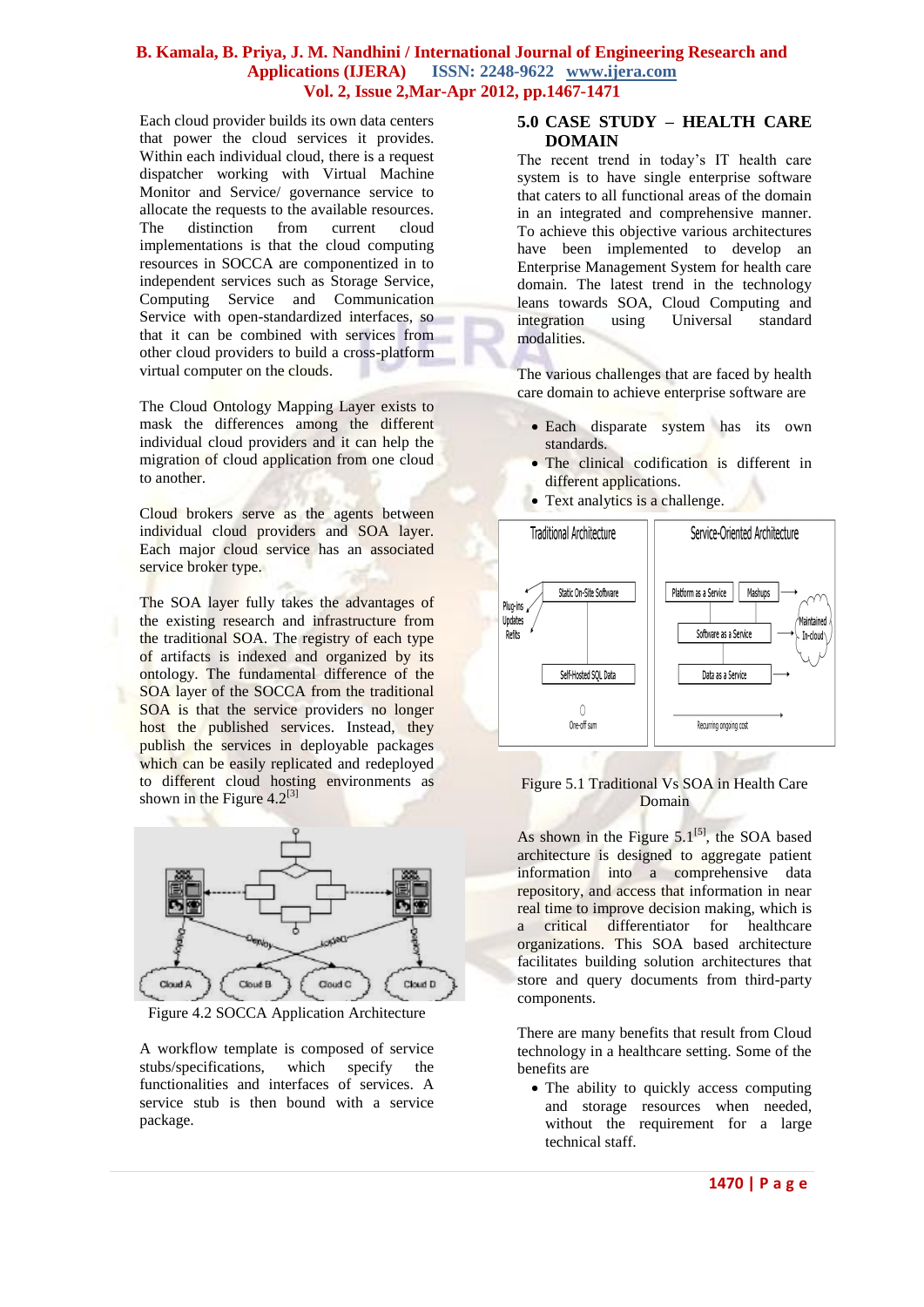Each cloud provider builds its own data centers that power the cloud services it provides. Within each individual cloud, there is a request dispatcher working with Virtual Machine Monitor and Service/ governance service to allocate the requests to the available resources. The distinction from current cloud implementations is that the cloud computing resources in SOCCA are componentized in to independent services such as Storage Service, Computing Service and Communication Service with open-standardized interfaces, so that it can be combined with services from other cloud providers to build a cross-platform virtual computer on the clouds.

The Cloud Ontology Mapping Layer exists to mask the differences among the different individual cloud providers and it can help the migration of cloud application from one cloud to another.

Cloud brokers serve as the agents between individual cloud providers and SOA layer. Each major cloud service has an associated service broker type.

The SOA layer fully takes the advantages of the existing research and infrastructure from the traditional SOA. The registry of each type of artifacts is indexed and organized by its ontology. The fundamental difference of the SOA layer of the SOCCA from the traditional SOA is that the service providers no longer host the published services. Instead, they publish the services in deployable packages which can be easily replicated and redeployed to different cloud hosting environments as shown in the Figure  $4.2^{[3]}$ 



Figure 4.2 SOCCA Application Architecture

A workflow template is composed of service stubs/specifications, which specify the functionalities and interfaces of services. A service stub is then bound with a service package.

#### **5.0 CASE STUDY – HEALTH CARE DOMAIN**

The recent trend in today's IT health care system is to have single enterprise software that caters to all functional areas of the domain in an integrated and comprehensive manner. To achieve this objective various architectures have been implemented to develop an Enterprise Management System for health care domain. The latest trend in the technology leans towards SOA, Cloud Computing and integration using Universal standard modalities.

The various challenges that are faced by health care domain to achieve enterprise software are

- Each disparate system has its own standards.
- The clinical codification is different in different applications.
- Text analytics is a challenge.



#### Figure 5.1 Traditional Vs SOA in Health Care Domain

As shown in the Figure  $5.1^{[5]}$ , the SOA based architecture is designed to aggregate patient information into a comprehensive data repository, and access that information in near real time to improve decision making, which is a critical differentiator for healthcare organizations. This SOA based architecture facilitates building solution architectures that store and query documents from third-party components.

There are many benefits that result from Cloud technology in a healthcare setting. Some of the benefits are

• The ability to quickly access computing and storage resources when needed, without the requirement for a large technical staff.